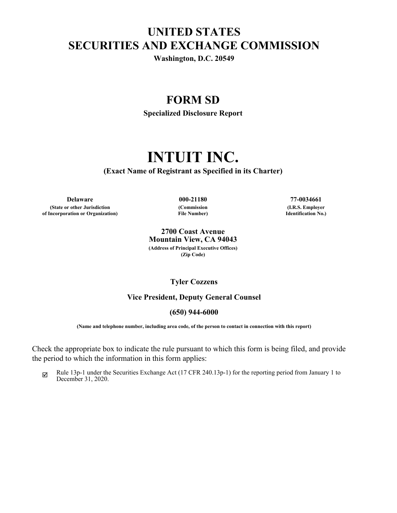# **UNITED STATES SECURITIES AND EXCHANGE COMMISSION**

**Washington, D.C. 20549**

# **FORM SD**

**Specialized Disclosure Report**

# **INTUIT INC.**

**(Exact Name of Registrant as Specified in its Charter)**

**Delaware 000-21180 77-0034661 (State or other Jurisdiction of Incorporation or Organization)**

**(Commission File Number)**

**(I.R.S. Employer Identification No.)**

**2700 Coast Avenue Mountain View, CA 94043 (Address of Principal Executive Offices) (Zip Code)**

## **Tyler Cozzens**

#### **Vice President, Deputy General Counsel**

#### **(650) 944-6000**

**(Name and telephone number, including area code, of the person to contact in connection with this report)**

Check the appropriate box to indicate the rule pursuant to which this form is being filed, and provide the period to which the information in this form applies:

 $\boxtimes$  Rule 13p-1 under the Securities Exchange Act (17 CFR 240.13p-1) for the reporting period from January 1 to December 31, 2020.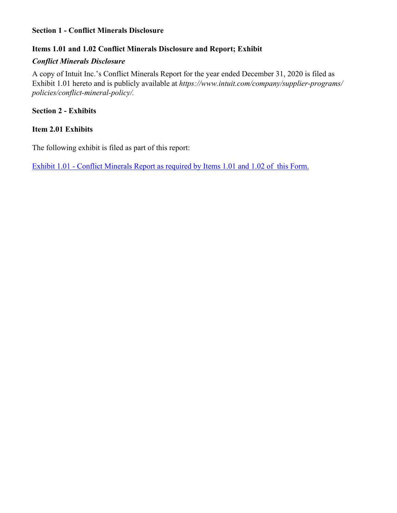# **Section 1 - Conflict Minerals Disclosure**

# **Items 1.01 and 1.02 Conflict Minerals Disclosure and Report; Exhibit**

# *Conflict Minerals Disclosure*

A copy of Intuit Inc.'s Conflict Minerals Report for the year ended December 31, 2020 is filed as Exhibit 1.01 hereto and is publicly available at *https://www.intuit.com/company/supplier-programs/ policies/conflict-mineral-policy/.*

# **Section 2 - Exhibits**

# **Item 2.01 Exhibits**

The following exhibit is filed as part of this report:

[Exhibit 1.01 - Conflict Minerals Report as required by Items 1.01 and 1.02 of this Form.](#page-3-0)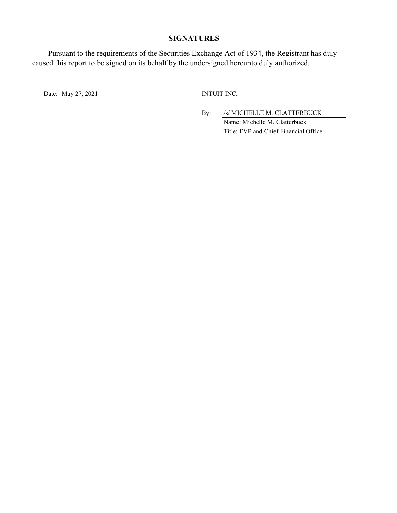#### **SIGNATURES**

Pursuant to the requirements of the Securities Exchange Act of 1934, the Registrant has duly caused this report to be signed on its behalf by the undersigned hereunto duly authorized.

Date: May 27, 2021 INTUIT INC.

By: /s/ MICHELLE M. CLATTERBUCK Name: Michelle M. Clatterbuck Title: EVP and Chief Financial Officer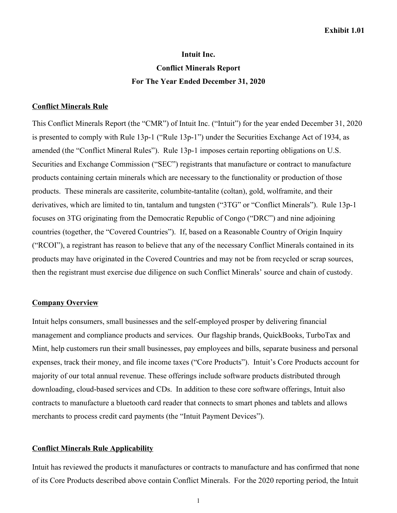# **Intuit Inc. Conflict Minerals Report For The Year Ended December 31, 2020**

#### <span id="page-3-0"></span>**Conflict Minerals Rule**

This Conflict Minerals Report (the "CMR") of Intuit Inc. ("Intuit") for the year ended December 31, 2020 is presented to comply with Rule 13p-1 ("Rule 13p-1") under the Securities Exchange Act of 1934, as amended (the "Conflict Mineral Rules"). Rule 13p-1 imposes certain reporting obligations on U.S. Securities and Exchange Commission ("SEC") registrants that manufacture or contract to manufacture products containing certain minerals which are necessary to the functionality or production of those products. These minerals are cassiterite, columbite-tantalite (coltan), gold, wolframite, and their derivatives, which are limited to tin, tantalum and tungsten ("3TG" or "Conflict Minerals"). Rule 13p-1 focuses on 3TG originating from the Democratic Republic of Congo ("DRC") and nine adjoining countries (together, the "Covered Countries"). If, based on a Reasonable Country of Origin Inquiry ("RCOI"), a registrant has reason to believe that any of the necessary Conflict Minerals contained in its products may have originated in the Covered Countries and may not be from recycled or scrap sources, then the registrant must exercise due diligence on such Conflict Minerals' source and chain of custody.

#### **Company Overview**

Intuit helps consumers, small businesses and the self-employed prosper by delivering financial management and compliance products and services. Our flagship brands, QuickBooks, TurboTax and Mint, help customers run their small businesses, pay employees and bills, separate business and personal expenses, track their money, and file income taxes ("Core Products"). Intuit's Core Products account for majority of our total annual revenue. These offerings include software products distributed through downloading, cloud-based services and CDs. In addition to these core software offerings, Intuit also contracts to manufacture a bluetooth card reader that connects to smart phones and tablets and allows merchants to process credit card payments (the "Intuit Payment Devices").

#### **Conflict Minerals Rule Applicability**

Intuit has reviewed the products it manufactures or contracts to manufacture and has confirmed that none of its Core Products described above contain Conflict Minerals. For the 2020 reporting period, the Intuit

1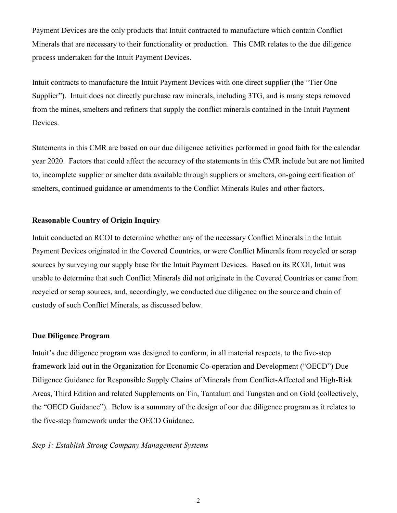Payment Devices are the only products that Intuit contracted to manufacture which contain Conflict Minerals that are necessary to their functionality or production. This CMR relates to the due diligence process undertaken for the Intuit Payment Devices.

Intuit contracts to manufacture the Intuit Payment Devices with one direct supplier (the "Tier One Supplier"). Intuit does not directly purchase raw minerals, including 3TG, and is many steps removed from the mines, smelters and refiners that supply the conflict minerals contained in the Intuit Payment Devices.

Statements in this CMR are based on our due diligence activities performed in good faith for the calendar year 2020. Factors that could affect the accuracy of the statements in this CMR include but are not limited to, incomplete supplier or smelter data available through suppliers or smelters, on-going certification of smelters, continued guidance or amendments to the Conflict Minerals Rules and other factors.

## **Reasonable Country of Origin Inquiry**

Intuit conducted an RCOI to determine whether any of the necessary Conflict Minerals in the Intuit Payment Devices originated in the Covered Countries, or were Conflict Minerals from recycled or scrap sources by surveying our supply base for the Intuit Payment Devices. Based on its RCOI, Intuit was unable to determine that such Conflict Minerals did not originate in the Covered Countries or came from recycled or scrap sources, and, accordingly, we conducted due diligence on the source and chain of custody of such Conflict Minerals, as discussed below.

## **Due Diligence Program**

Intuit's due diligence program was designed to conform, in all material respects, to the five-step framework laid out in the Organization for Economic Co-operation and Development ("OECD") Due Diligence Guidance for Responsible Supply Chains of Minerals from Conflict-Affected and High-Risk Areas, Third Edition and related Supplements on Tin, Tantalum and Tungsten and on Gold (collectively, the "OECD Guidance"). Below is a summary of the design of our due diligence program as it relates to the five-step framework under the OECD Guidance.

# *Step 1: Establish Strong Company Management Systems*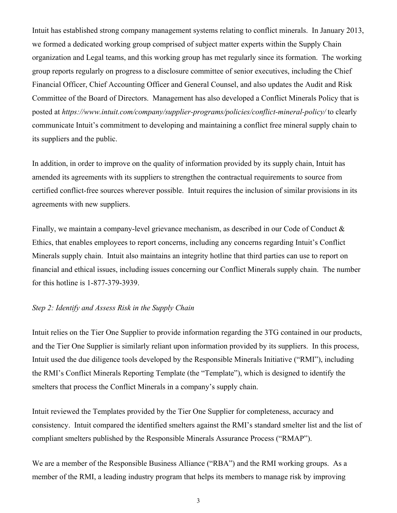Intuit has established strong company management systems relating to conflict minerals. In January 2013, we formed a dedicated working group comprised of subject matter experts within the Supply Chain organization and Legal teams, and this working group has met regularly since its formation. The working group reports regularly on progress to a disclosure committee of senior executives, including the Chief Financial Officer, Chief Accounting Officer and General Counsel, and also updates the Audit and Risk Committee of the Board of Directors. Management has also developed a Conflict Minerals Policy that is posted at *https://www.intuit.com/company/supplier-programs/policies/conflict-mineral-policy/* to clearly communicate Intuit's commitment to developing and maintaining a conflict free mineral supply chain to its suppliers and the public.

In addition, in order to improve on the quality of information provided by its supply chain, Intuit has amended its agreements with its suppliers to strengthen the contractual requirements to source from certified conflict-free sources wherever possible. Intuit requires the inclusion of similar provisions in its agreements with new suppliers.

Finally, we maintain a company-level grievance mechanism, as described in our Code of Conduct & Ethics, that enables employees to report concerns, including any concerns regarding Intuit's Conflict Minerals supply chain. Intuit also maintains an integrity hotline that third parties can use to report on financial and ethical issues, including issues concerning our Conflict Minerals supply chain. The number for this hotline is 1-877-379-3939.

#### *Step 2: Identify and Assess Risk in the Supply Chain*

Intuit relies on the Tier One Supplier to provide information regarding the 3TG contained in our products, and the Tier One Supplier is similarly reliant upon information provided by its suppliers. In this process, Intuit used the due diligence tools developed by the Responsible Minerals Initiative ("RMI"), including the RMI's Conflict Minerals Reporting Template (the "Template"), which is designed to identify the smelters that process the Conflict Minerals in a company's supply chain.

Intuit reviewed the Templates provided by the Tier One Supplier for completeness, accuracy and consistency. Intuit compared the identified smelters against the RMI's standard smelter list and the list of compliant smelters published by the Responsible Minerals Assurance Process ("RMAP").

We are a member of the Responsible Business Alliance ("RBA") and the RMI working groups. As a member of the RMI, a leading industry program that helps its members to manage risk by improving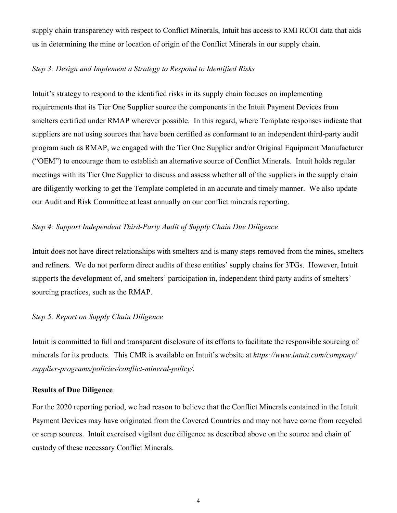supply chain transparency with respect to Conflict Minerals, Intuit has access to RMI RCOI data that aids us in determining the mine or location of origin of the Conflict Minerals in our supply chain.

# *Step 3: Design and Implement a Strategy to Respond to Identified Risks*

Intuit's strategy to respond to the identified risks in its supply chain focuses on implementing requirements that its Tier One Supplier source the components in the Intuit Payment Devices from smelters certified under RMAP wherever possible. In this regard, where Template responses indicate that suppliers are not using sources that have been certified as conformant to an independent third-party audit program such as RMAP, we engaged with the Tier One Supplier and/or Original Equipment Manufacturer ("OEM") to encourage them to establish an alternative source of Conflict Minerals. Intuit holds regular meetings with its Tier One Supplier to discuss and assess whether all of the suppliers in the supply chain are diligently working to get the Template completed in an accurate and timely manner. We also update our Audit and Risk Committee at least annually on our conflict minerals reporting.

## *Step 4: Support Independent Third-Party Audit of Supply Chain Due Diligence*

Intuit does not have direct relationships with smelters and is many steps removed from the mines, smelters and refiners. We do not perform direct audits of these entities' supply chains for 3TGs. However, Intuit supports the development of, and smelters' participation in, independent third party audits of smelters' sourcing practices, such as the RMAP.

#### *Step 5: Report on Supply Chain Diligence*

Intuit is committed to full and transparent disclosure of its efforts to facilitate the responsible sourcing of minerals for its products. This CMR is available on Intuit's website at *https://www.intuit.com/company/ supplier-programs/policies/conflict-mineral-policy/*.

#### **Results of Due Diligence**

For the 2020 reporting period, we had reason to believe that the Conflict Minerals contained in the Intuit Payment Devices may have originated from the Covered Countries and may not have come from recycled or scrap sources. Intuit exercised vigilant due diligence as described above on the source and chain of custody of these necessary Conflict Minerals.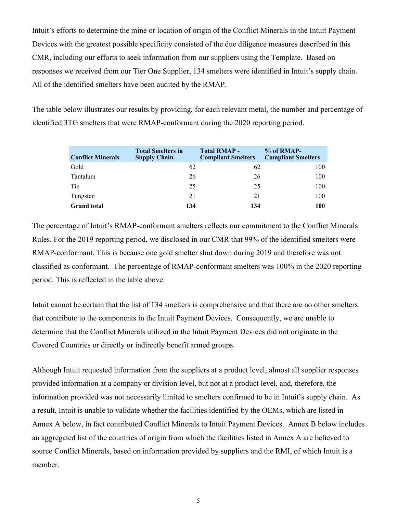Intuit's efforts to determine the mine or location of origin of the Conflict Minerals in the Intuit Payment Devices with the greatest possible specificity consisted of the due diligence measures described in this CMR, including our efforts to seek information from our suppliers using the Template. Based on responses we received from our Tier One Supplier, 134 smelters were identified in Intuit's supply chain. All of the identified smelters have been audited by the RMAP.

The table below illustrates our results by providing, for each relevant metal, the number and percentage of identified 3TG smelters that were RMAP-conformant during the 2020 reporting period.

| <b>Conflict Minerals</b> | <b>Total Smelters in</b><br><b>Supply Chain</b> | <b>Total RMAP -</b><br><b>Compliant Smelters</b> | $% of RMAP-$<br><b>Compliant Smelters</b> |
|--------------------------|-------------------------------------------------|--------------------------------------------------|-------------------------------------------|
| Gold                     | 62                                              | 62                                               | 100                                       |
| Tantalum                 | 26                                              | 26                                               | 100                                       |
| Tin                      | 25                                              | 25                                               | 100                                       |
| Tungsten                 | 21                                              | 21                                               | 100                                       |
| <b>Grand</b> total       | 134                                             | 134                                              | 100                                       |

The percentage of Intuit's RMAP-conformant smelters reflects our commitment to the Conflict Minerals Rules. For the 2019 reporting period, we disclosed in our CMR that 99% of the identified smelters were RMAP-conformant. This is because one gold smelter shut down during 2019 and therefore was not classified as conformant. The percentage of RMAP-conformant smelters was 100% in the 2020 reporting period. This is reflected in the table above.

Intuit cannot be certain that the list of 134 smelters is comprehensive and that there are no other smelters that contribute to the components in the Intuit Payment Devices. Consequently, we are unable to determine that the Conflict Minerals utilized in the Intuit Payment Devices did not originate in the Covered Countries or directly or indirectly benefit armed groups.

Although Intuit requested information from the suppliers at a product level, almost all supplier responses provided information at a company or division level, but not at a product level, and, therefore, the information provided was not necessarily limited to smelters confirmed to be in Intuit's supply chain. As a result, Intuit is unable to validate whether the facilities identified by the OEMs, which are listed in Annex A below, in fact contributed Conflict Minerals to Intuit Payment Devices. Annex B below includes an aggregated list of the countries of origin from which the facilities listed in Annex A are believed to source Conflict Minerals, based on information provided by suppliers and the RMI, of which Intuit is a member.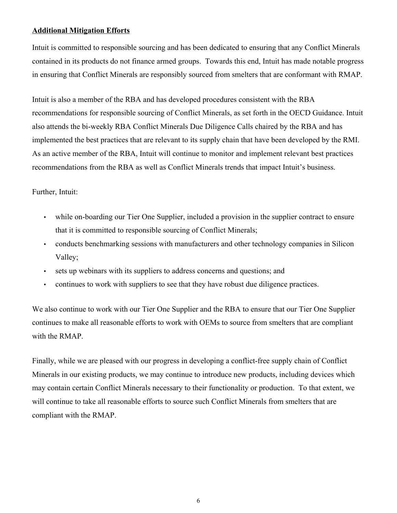## **Additional Mitigation Efforts**

Intuit is committed to responsible sourcing and has been dedicated to ensuring that any Conflict Minerals contained in its products do not finance armed groups. Towards this end, Intuit has made notable progress in ensuring that Conflict Minerals are responsibly sourced from smelters that are conformant with RMAP.

Intuit is also a member of the RBA and has developed procedures consistent with the RBA recommendations for responsible sourcing of Conflict Minerals, as set forth in the OECD Guidance. Intuit also attends the bi-weekly RBA Conflict Minerals Due Diligence Calls chaired by the RBA and has implemented the best practices that are relevant to its supply chain that have been developed by the RMI. As an active member of the RBA, Intuit will continue to monitor and implement relevant best practices recommendations from the RBA as well as Conflict Minerals trends that impact Intuit's business.

## Further, Intuit:

- while on-boarding our Tier One Supplier, included a provision in the supplier contract to ensure that it is committed to responsible sourcing of Conflict Minerals;
- conducts benchmarking sessions with manufacturers and other technology companies in Silicon Valley;
- sets up webinars with its suppliers to address concerns and questions; and
- continues to work with suppliers to see that they have robust due diligence practices.

We also continue to work with our Tier One Supplier and the RBA to ensure that our Tier One Supplier continues to make all reasonable efforts to work with OEMs to source from smelters that are compliant with the RMAP.

Finally, while we are pleased with our progress in developing a conflict-free supply chain of Conflict Minerals in our existing products, we may continue to introduce new products, including devices which may contain certain Conflict Minerals necessary to their functionality or production. To that extent, we will continue to take all reasonable efforts to source such Conflict Minerals from smelters that are compliant with the RMAP.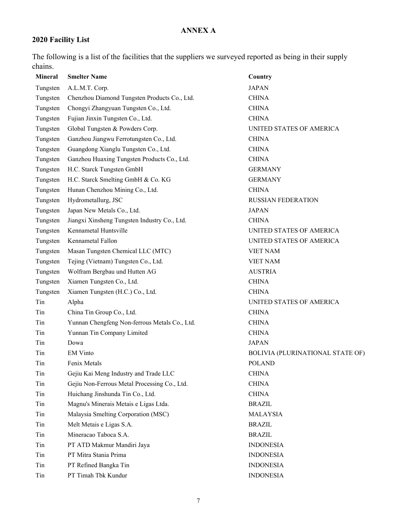# **ANNEX A**

# **2020 Facility List**

The following is a list of the facilities that the suppliers we surveyed reported as being in their supply chains.

| <b>Mineral</b> | <b>Smelter Name</b>                           | Country                                 |
|----------------|-----------------------------------------------|-----------------------------------------|
| Tungsten       | A.L.M.T. Corp.                                | <b>JAPAN</b>                            |
| Tungsten       | Chenzhou Diamond Tungsten Products Co., Ltd.  | <b>CHINA</b>                            |
| Tungsten       | Chongyi Zhangyuan Tungsten Co., Ltd.          | <b>CHINA</b>                            |
| Tungsten       | Fujian Jinxin Tungsten Co., Ltd.              | <b>CHINA</b>                            |
| Tungsten       | Global Tungsten & Powders Corp.               | UNITED STATES OF AMERICA                |
| Tungsten       | Ganzhou Jiangwu Ferrotungsten Co., Ltd.       | <b>CHINA</b>                            |
| Tungsten       | Guangdong Xianglu Tungsten Co., Ltd.          | <b>CHINA</b>                            |
| Tungsten       | Ganzhou Huaxing Tungsten Products Co., Ltd.   | <b>CHINA</b>                            |
| Tungsten       | H.C. Starck Tungsten GmbH                     | <b>GERMANY</b>                          |
| Tungsten       | H.C. Starck Smelting GmbH & Co. KG            | <b>GERMANY</b>                          |
| Tungsten       | Hunan Chenzhou Mining Co., Ltd.               | <b>CHINA</b>                            |
| Tungsten       | Hydrometallurg, JSC                           | RUSSIAN FEDERATION                      |
| Tungsten       | Japan New Metals Co., Ltd.                    | <b>JAPAN</b>                            |
| Tungsten       | Jiangxi Xinsheng Tungsten Industry Co., Ltd.  | <b>CHINA</b>                            |
| Tungsten       | Kennametal Huntsville                         | UNITED STATES OF AMERICA                |
| Tungsten       | Kennametal Fallon                             | UNITED STATES OF AMERICA                |
| Tungsten       | Masan Tungsten Chemical LLC (MTC)             | <b>VIET NAM</b>                         |
| Tungsten       | Tejing (Vietnam) Tungsten Co., Ltd.           | <b>VIET NAM</b>                         |
| Tungsten       | Wolfram Bergbau und Hutten AG                 | <b>AUSTRIA</b>                          |
| Tungsten       | Xiamen Tungsten Co., Ltd.                     | <b>CHINA</b>                            |
| Tungsten       | Xiamen Tungsten (H.C.) Co., Ltd.              | <b>CHINA</b>                            |
| Tin            | Alpha                                         | UNITED STATES OF AMERICA                |
| Tin            | China Tin Group Co., Ltd.                     | <b>CHINA</b>                            |
| Tin            | Yunnan Chengfeng Non-ferrous Metals Co., Ltd. | <b>CHINA</b>                            |
| Tin            | Yunnan Tin Company Limited                    | <b>CHINA</b>                            |
| Tin            | Dowa                                          | <b>JAPAN</b>                            |
| Tin            | <b>EM Vinto</b>                               | <b>BOLIVIA (PLURINATIONAL STATE OF)</b> |
| Tin            | Fenix Metals                                  | <b>POLAND</b>                           |
| Tin            | Gejiu Kai Meng Industry and Trade LLC         | <b>CHINA</b>                            |
| Tin            | Gejiu Non-Ferrous Metal Processing Co., Ltd.  | <b>CHINA</b>                            |
| Tin            | Huichang Jinshunda Tin Co., Ltd.              | <b>CHINA</b>                            |
| Tin            | Magnu's Minerais Metais e Ligas Ltda.         | <b>BRAZIL</b>                           |
| Tin            | Malaysia Smelting Corporation (MSC)           | <b>MALAYSIA</b>                         |
| Tin            | Melt Metais e Ligas S.A.                      | <b>BRAZIL</b>                           |
| Tin            | Mineracao Taboca S.A.                         | <b>BRAZIL</b>                           |
| Tin            | PT ATD Makmur Mandiri Jaya                    | <b>INDONESIA</b>                        |
| Tin            | PT Mitra Stania Prima                         | <b>INDONESIA</b>                        |
| Tin            | PT Refined Bangka Tin                         | <b>INDONESIA</b>                        |
| Tin            | PT Timah Tbk Kundur                           | <b>INDONESIA</b>                        |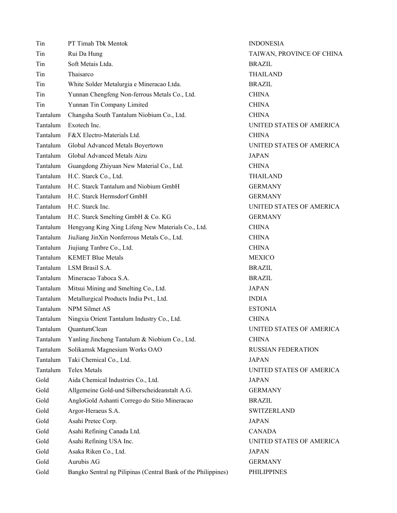| Tin      | PT Timah Tbk Mentok                                           | <b>INDONESIA</b>    |
|----------|---------------------------------------------------------------|---------------------|
| Tin      | Rui Da Hung                                                   | TAIWAN, PROV        |
| Tin      | Soft Metais Ltda.                                             | <b>BRAZIL</b>       |
| Tin      | Thaisarco                                                     | <b>THAILAND</b>     |
| Tin      | White Solder Metalurgia e Mineracao Ltda.                     | <b>BRAZIL</b>       |
| Tin      | Yunnan Chengfeng Non-ferrous Metals Co., Ltd.                 | <b>CHINA</b>        |
| Tin      | Yunnan Tin Company Limited                                    | <b>CHINA</b>        |
| Tantalum | Changsha South Tantalum Niobium Co., Ltd.                     | <b>CHINA</b>        |
| Tantalum | Exotech Inc.                                                  | <b>UNITED STATE</b> |
| Tantalum | F&X Electro-Materials Ltd.                                    | <b>CHINA</b>        |
| Tantalum | Global Advanced Metals Boyertown                              | <b>UNITED STATE</b> |
| Tantalum | Global Advanced Metals Aizu                                   | <b>JAPAN</b>        |
| Tantalum | Guangdong Zhiyuan New Material Co., Ltd.                      | <b>CHINA</b>        |
| Tantalum | H.C. Starck Co., Ltd.                                         | <b>THAILAND</b>     |
| Tantalum | H.C. Starck Tantalum and Niobium GmbH                         | <b>GERMANY</b>      |
| Tantalum | H.C. Starck Hermsdorf GmbH                                    | <b>GERMANY</b>      |
| Tantalum | H.C. Starck Inc.                                              | <b>UNITED STATE</b> |
| Tantalum | H.C. Starck Smelting GmbH & Co. KG                            | <b>GERMANY</b>      |
| Tantalum | Hengyang King Xing Lifeng New Materials Co., Ltd.             | <b>CHINA</b>        |
| Tantalum | JiuJiang JinXin Nonferrous Metals Co., Ltd.                   | <b>CHINA</b>        |
| Tantalum | Jiujiang Tanbre Co., Ltd.                                     | <b>CHINA</b>        |
| Tantalum | <b>KEMET Blue Metals</b>                                      | <b>MEXICO</b>       |
| Tantalum | LSM Brasil S.A.                                               | <b>BRAZIL</b>       |
| Tantalum | Mineracao Taboca S.A.                                         | <b>BRAZIL</b>       |
| Tantalum | Mitsui Mining and Smelting Co., Ltd.                          | <b>JAPAN</b>        |
| Tantalum | Metallurgical Products India Pvt., Ltd.                       | <b>INDIA</b>        |
| Tantalum | NPM Silmet AS                                                 | <b>ESTONIA</b>      |
| Tantalum | Ningxia Orient Tantalum Industry Co., Ltd.                    | <b>CHINA</b>        |
| Tantalum | <b>OuantumClean</b>                                           | <b>UNITED STATE</b> |
| Tantalum | Yanling Jincheng Tantalum & Niobium Co., Ltd.                 | <b>CHINA</b>        |
| Tantalum | Solikamsk Magnesium Works OAO                                 | <b>RUSSIAN FEDE</b> |
| Tantalum | Taki Chemical Co., Ltd.                                       | <b>JAPAN</b>        |
| Tantalum | <b>Telex Metals</b>                                           | <b>UNITED STATE</b> |
| Gold     | Aida Chemical Industries Co., Ltd.                            | <b>JAPAN</b>        |
| Gold     | Allgemeine Gold-und Silberscheideanstalt A.G.                 | <b>GERMANY</b>      |
| Gold     | AngloGold Ashanti Corrego do Sitio Mineracao                  | <b>BRAZIL</b>       |
| Gold     | Argor-Heraeus S.A.                                            | <b>SWITZERLAND</b>  |
| Gold     | Asahi Pretec Corp.                                            | <b>JAPAN</b>        |
| Gold     | Asahi Refining Canada Ltd.                                    | <b>CANADA</b>       |
| Gold     | Asahi Refining USA Inc.                                       | <b>UNITED STATE</b> |
| Gold     | Asaka Riken Co., Ltd.                                         | <b>JAPAN</b>        |
| Gold     | Aurubis AG                                                    | <b>GERMANY</b>      |
| Gold     | Bangko Sentral ng Pilipinas (Central Bank of the Philippines) | <b>PHILIPPINES</b>  |

**I**, PROVINCE OF CHINA STATES OF AMERICA STATES OF AMERICA STATES OF AMERICA STATES OF AMERICA N FEDERATION STATES OF AMERICA STATES OF AMERICA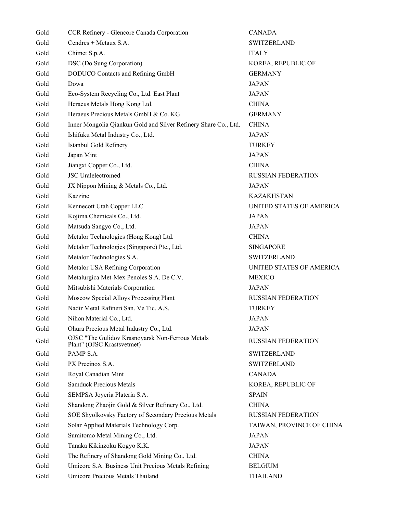| Gold | CCR Refinery - Glencore Canada Corporation                                     | <b>CANADA</b>     |
|------|--------------------------------------------------------------------------------|-------------------|
| Gold | Cendres + Metaux S.A.                                                          | <b>SWITZERLA</b>  |
| Gold | Chimet S.p.A.                                                                  | <b>ITALY</b>      |
| Gold | DSC (Do Sung Corporation)                                                      | KOREA, REF        |
| Gold | DODUCO Contacts and Refining GmbH                                              | <b>GERMANY</b>    |
| Gold | Dowa                                                                           | <b>JAPAN</b>      |
| Gold | Eco-System Recycling Co., Ltd. East Plant                                      | <b>JAPAN</b>      |
| Gold | Heraeus Metals Hong Kong Ltd.                                                  | <b>CHINA</b>      |
| Gold | Heraeus Precious Metals GmbH & Co. KG                                          | <b>GERMANY</b>    |
| Gold | Inner Mongolia Qiankun Gold and Silver Refinery Share Co., Ltd.                | <b>CHINA</b>      |
| Gold | Ishifuku Metal Industry Co., Ltd.                                              | <b>JAPAN</b>      |
| Gold | Istanbul Gold Refinery                                                         | <b>TURKEY</b>     |
| Gold | Japan Mint                                                                     | <b>JAPAN</b>      |
| Gold | Jiangxi Copper Co., Ltd.                                                       | <b>CHINA</b>      |
| Gold | <b>JSC</b> Uralelectromed                                                      | <b>RUSSIAN FE</b> |
| Gold | JX Nippon Mining & Metals Co., Ltd.                                            | <b>JAPAN</b>      |
| Gold | Kazzinc                                                                        | <b>KAZAKHST</b>   |
| Gold | Kennecott Utah Copper LLC                                                      | <b>UNITED STA</b> |
| Gold | Kojima Chemicals Co., Ltd.                                                     | <b>JAPAN</b>      |
| Gold | Matsuda Sangyo Co., Ltd.                                                       | <b>JAPAN</b>      |
| Gold | Metalor Technologies (Hong Kong) Ltd.                                          | <b>CHINA</b>      |
| Gold | Metalor Technologies (Singapore) Pte., Ltd.                                    | <b>SINGAPORE</b>  |
| Gold | Metalor Technologies S.A.                                                      | <b>SWITZERLA</b>  |
| Gold | Metalor USA Refining Corporation                                               | <b>UNITED STA</b> |
| Gold | Metalurgica Met-Mex Penoles S.A. De C.V.                                       | MEXICO            |
| Gold | Mitsubishi Materials Corporation                                               | <b>JAPAN</b>      |
| Gold | Moscow Special Alloys Processing Plant                                         | <b>RUSSIAN FE</b> |
| Gold | Nadir Metal Rafineri San. Ve Tic. A.S.                                         | <b>TURKEY</b>     |
| Gold | Nihon Material Co., Ltd.                                                       | <b>JAPAN</b>      |
| Gold | Ohura Precious Metal Industry Co., Ltd.                                        | <b>JAPAN</b>      |
| Gold | OJSC "The Gulidov Krasnoyarsk Non-Ferrous Metals<br>Plant" (OJSC Krastsvetmet) | <b>RUSSIAN FE</b> |
| Gold | PAMP S.A.                                                                      | <b>SWITZERLA</b>  |
| Gold | PX Precinox S.A.                                                               | <b>SWITZERLA</b>  |
| Gold | Royal Canadian Mint                                                            | CANADA            |
| Gold | <b>Samduck Precious Metals</b>                                                 | KOREA, REF        |
| Gold | SEMPSA Joyeria Plateria S.A.                                                   | <b>SPAIN</b>      |
| Gold | Shandong Zhaojin Gold & Silver Refinery Co., Ltd.                              | <b>CHINA</b>      |
| Gold | SOE Shyolkovsky Factory of Secondary Precious Metals                           | <b>RUSSIAN FE</b> |
| Gold | Solar Applied Materials Technology Corp.                                       | TAIWAN, PR        |
| Gold | Sumitomo Metal Mining Co., Ltd.                                                | <b>JAPAN</b>      |
| Gold | Tanaka Kikinzoku Kogyo K.K.                                                    | <b>JAPAN</b>      |
| Gold | The Refinery of Shandong Gold Mining Co., Ltd.                                 | <b>CHINA</b>      |
| Gold | Umicore S.A. Business Unit Precious Metals Refining                            | <b>BELGIUM</b>    |
| Gold | Umicore Precious Metals Thailand                                               | <b>THAILAND</b>   |

**CZERLAND** EA, REPUBLIC OF **SIAN FEDERATION** AKHSTAN TED STATES OF AMERICA **GZERLAND** TED STATES OF AMERICA SIAN FEDERATION **SIAN FEDERATION TZERLAND** TZERLAND EA, REPUBLIC OF **GIAN FEDERATION** VAN, PROVINCE OF CHINA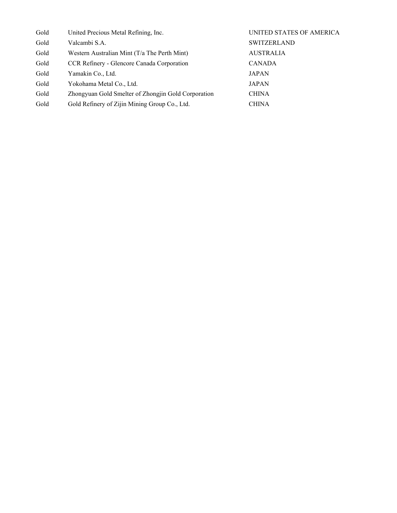| Gold | United Precious Metal Refining, Inc.                | UNITED STATES OF AMERICA |
|------|-----------------------------------------------------|--------------------------|
| Gold | Valcambi S.A.                                       | <b>SWITZERLAND</b>       |
| Gold | Western Australian Mint (T/a The Perth Mint)        | <b>AUSTRALIA</b>         |
| Gold | CCR Refinery - Glencore Canada Corporation          | <b>CANADA</b>            |
| Gold | Yamakin Co., Ltd.                                   | <b>JAPAN</b>             |
| Gold | Yokohama Metal Co., Ltd.                            | <b>JAPAN</b>             |
| Gold | Zhongyuan Gold Smelter of Zhongjin Gold Corporation | <b>CHINA</b>             |
| Gold | Gold Refinery of Zijin Mining Group Co., Ltd.       | <b>CHINA</b>             |
|      |                                                     |                          |